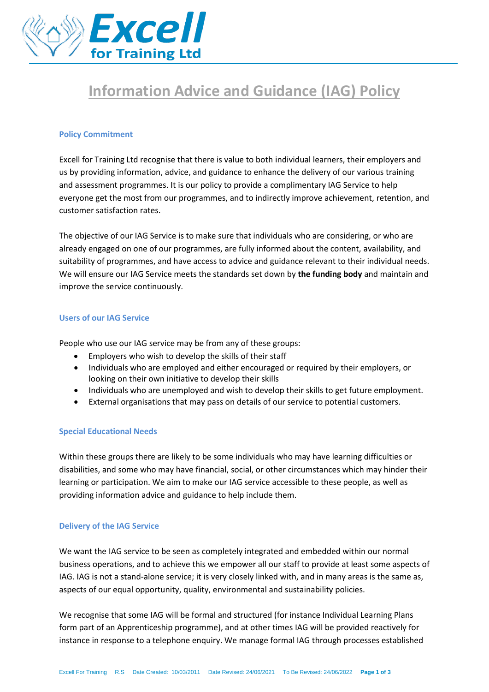

# **Information Advice and Guidance (IAG) Policy**

### **Policy Commitment**

Excell for Training Ltd recognise that there is value to both individual learners, their employers and us by providing information, advice, and guidance to enhance the delivery of our various training and assessment programmes. It is our policy to provide a complimentary IAG Service to help everyone get the most from our programmes, and to indirectly improve achievement, retention, and customer satisfaction rates.

The objective of our IAG Service is to make sure that individuals who are considering, or who are already engaged on one of our programmes, are fully informed about the content, availability, and suitability of programmes, and have access to advice and guidance relevant to their individual needs. We will ensure our IAG Service meets the standards set down by **the funding body** and maintain and improve the service continuously.

#### **Users of our IAG Service**

People who use our IAG service may be from any of these groups:

- Employers who wish to develop the skills of their staff
- Individuals who are employed and either encouraged or required by their employers, or looking on their own initiative to develop their skills
- Individuals who are unemployed and wish to develop their skills to get future employment.
- External organisations that may pass on details of our service to potential customers.

# **Special Educational Needs**

Within these groups there are likely to be some individuals who may have learning difficulties or disabilities, and some who may have financial, social, or other circumstances which may hinder their learning or participation. We aim to make our IAG service accessible to these people, as well as providing information advice and guidance to help include them.

# **Delivery of the IAG Service**

We want the IAG service to be seen as completely integrated and embedded within our normal business operations, and to achieve this we empower all our staff to provide at least some aspects of IAG. IAG is not a stand-alone service; it is very closely linked with, and in many areas is the same as, aspects of our equal opportunity, quality, environmental and sustainability policies.

We recognise that some IAG will be formal and structured (for instance Individual Learning Plans form part of an Apprenticeship programme), and at other times IAG will be provided reactively for instance in response to a telephone enquiry. We manage formal IAG through processes established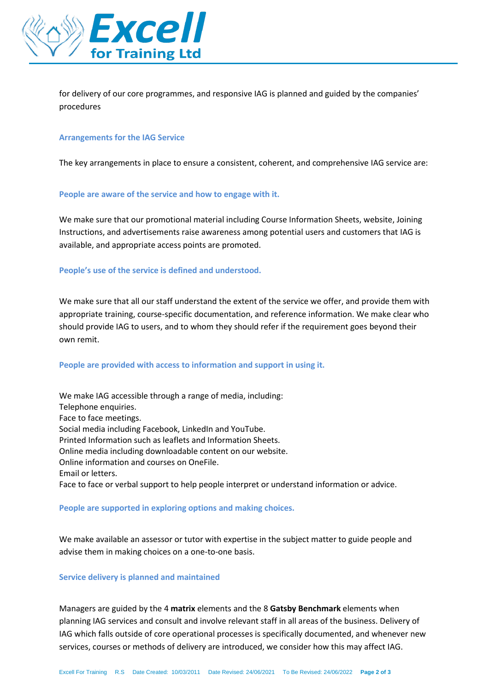

for delivery of our core programmes, and responsive IAG is planned and guided by the companies' procedures

#### **Arrangements for the IAG Service**

The key arrangements in place to ensure a consistent, coherent, and comprehensive IAG service are:

#### **People are aware of the service and how to engage with it.**

We make sure that our promotional material including Course Information Sheets, website, Joining Instructions, and advertisements raise awareness among potential users and customers that IAG is available, and appropriate access points are promoted.

# **People's use of the service is defined and understood.**

We make sure that all our staff understand the extent of the service we offer, and provide them with appropriate training, course-specific documentation, and reference information. We make clear who should provide IAG to users, and to whom they should refer if the requirement goes beyond their own remit.

# **People are provided with access to information and support in using it.**

We make IAG accessible through a range of media, including: Telephone enquiries. Face to face meetings. Social media including Facebook, LinkedIn and YouTube. Printed Information such as leaflets and Information Sheets. Online media including downloadable content on our website. Online information and courses on OneFile. Email or letters. Face to face or verbal support to help people interpret or understand information or advice.

#### **People are supported in exploring options and making choices.**

We make available an assessor or tutor with expertise in the subject matter to guide people and advise them in making choices on a one-to-one basis.

#### **Service delivery is planned and maintained**

Managers are guided by the 4 **matrix** elements and the 8 **Gatsby Benchmark** elements when planning IAG services and consult and involve relevant staff in all areas of the business. Delivery of IAG which falls outside of core operational processes is specifically documented, and whenever new services, courses or methods of delivery are introduced, we consider how this may affect IAG.